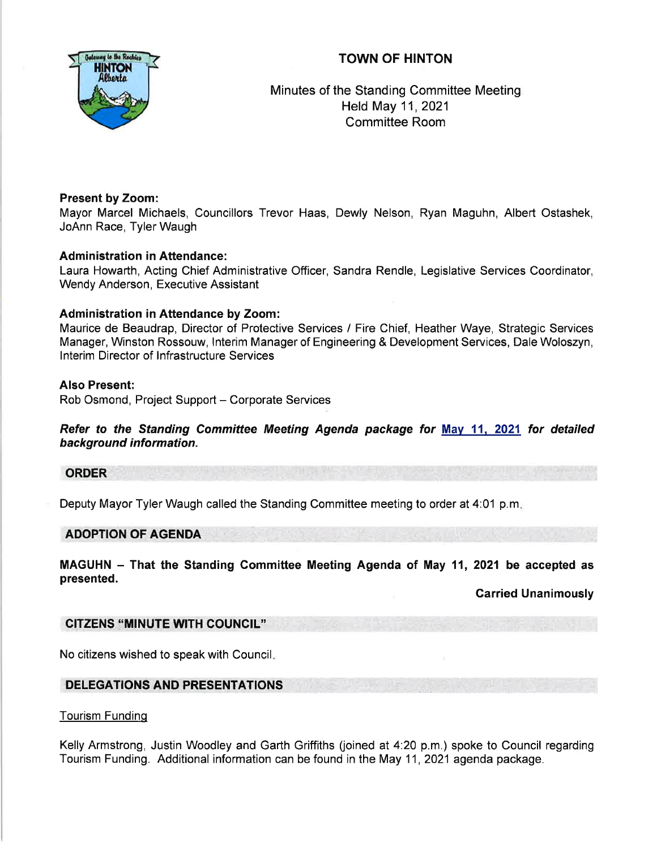# TOWN OF HINTON



Minutes of the Standing Committee Meeting Held May 11,2021 Committee Room

### Present by Zoom:

Mayor Marcel Michaels, Councillors Trevor Haas, Dewly Nelson, Ryan Maguhn, Albert Ostashek, JoAnn Race, Tyler Waugh

# Administration in Attendance:

Laura Howarth, Acting Chief Administrative Officer, Sandra Rendle, Legislative Services Coordinator, Wendy Anderson, Executive Assistant

# Administration in Attendance by Zoom:

Maurice de Beaudrap, Director of Protective Services / Fire Chief, Heather Waye, Strategic Services Manager, Winston Rossouw, lnterim Manager of Engineering & Development Services, Dale Woloszyn, lnterim Director of lnfrastructure Services

# Also Present:

Rob Osmond, Project Support - Corporate Services

Refer to the Standing Committee Meeting Agenda package for May 11, 2021 for detailed background information.

### ORDER

Deputy Mayor Tyler Waugh called the Standing Committee meeting to order at 4:01 p.m

### ADOPTION OF AGENDA

MAGUHN - That the Standing Committee Meeting Agenda of May 11, 2021 be accepted as presented.

Garried Unanimously

# CITZENS "MINUTE WTH COUNCIL''

No citizens wished to speak with Council

# DELEGATIONS AND PRESENTATIONS

### Tourism Funding

Kelly Armstrong, Justin Woodley and Garth Griffiths (joined at 4:20 p.m.) spoke to Council regarding Tourism Funding. Additional information can be found in the May 11, 2021 agenda package.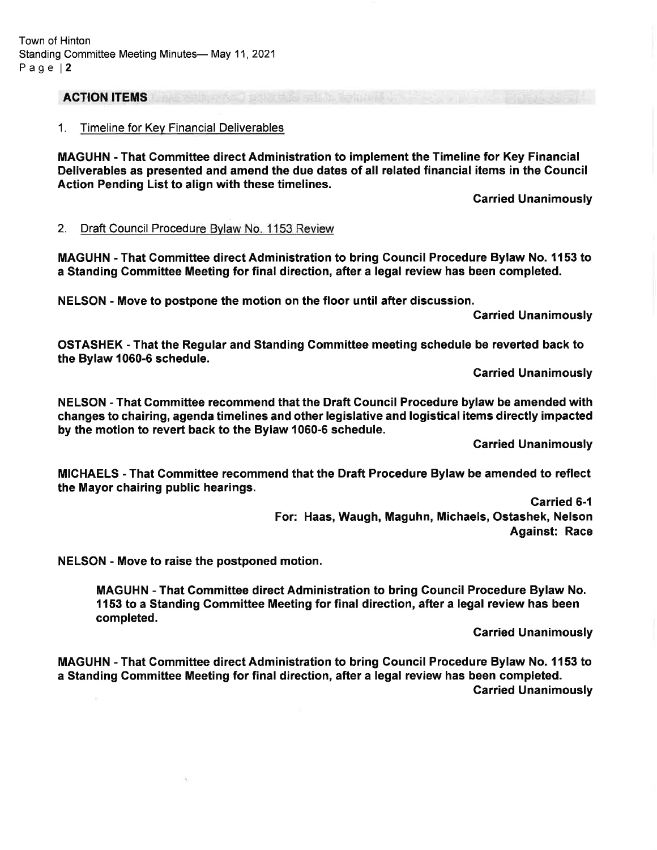#### ACTION ITEMS

#### 1. Timeline for Kev Financial Deliverables

MAGUHN - That Gommittee direct Administration to implement the Timeline for Key Financial Deliverables as presented and amend the due dates of all related financial items in the Gouncil Action Pending List to align with these timelines.

Carried Unanimously

#### 2. Draft Council Procedure Bvlaw No. 1153 Review

MAGUHN - That Committee direct Administration to bring Council Procedure Bylaw No. 1153 to a Standing Committee Meeting for final direction, after a legal review has been completed.

NELSON - Move to postpone the motion on the floor until after discussion.

**Carried Unanimously** 

OSTASHEK - That the Regular and Standing Gommittee meeting schedule be reverted back to the Bylaw 1060-6 schedule.

Carried Unanimously

NELSON - That Commiftee recommend that the Draft Council Procedure bylaw be amended with changes to chairing, agenda timelines and other legislative and logistical items directly impacted by the motion to revert back to the Bylaw 1060-6 schedule.

Carried Unanimously

MICHAELS - That Gommittee recommend that the Draft Procedure Bylaw be amended to reflect the Mayor chairing public hearings.

> Garried 6-{ For: Haas, Waugh, Maguhn, Michaels, Ostashek, Nelson Against: Race

NELSON - Move to raise the postponed motion.

MAGUHN - That Committee direct Administration to bring Council Procedure Bylaw No. 1153 to a Standing Gommittee Meeting for final direction, after a legal review has been completed.

Carried Unanimously

MAGUHN - That Gommittee direct Administration to bring Gouncil Procedure Bylaw No. 1153 to a Standing Gommittee Meeting for final direction, after a legal review has been completed. Carried Unanimously